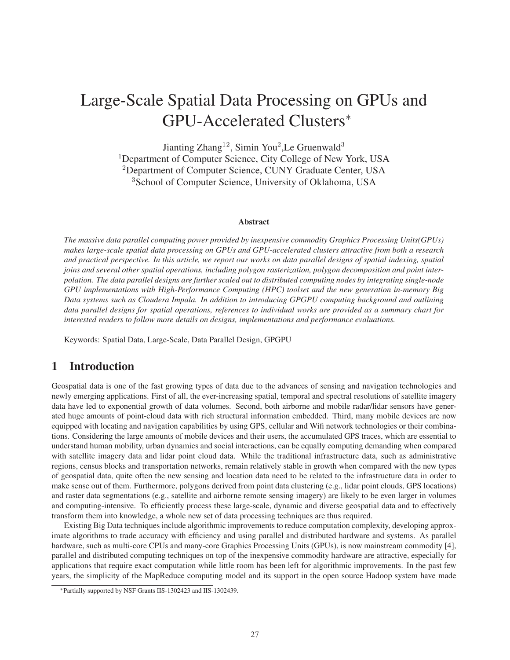# Large-Scale Spatial Data Processing on GPUs and GPU-Accelerated Clusters<sup>∗</sup>

Jianting Zhang<sup>12</sup>, Simin You<sup>2</sup>, Le Gruenwald<sup>3</sup> <sup>1</sup>Department of Computer Science, City College of New York, USA <sup>2</sup>Department of Computer Science, CUNY Graduate Center, USA <sup>3</sup>School of Computer Science, University of Oklahoma, USA

#### Abstract

*The massive data parallel computing power provided by inexpensive commodity Graphics Processing Units(GPUs) makes large-scale spatial data processing on GPUs and GPU-accelerated clusters attractive from both a research and practical perspective. In this article, we report our works on data parallel designs of spatial indexing, spatial joins and several other spatial operations, including polygon rasterization, polygon decomposition and point interpolation. The data parallel designs are further scaled out to distributed computing nodes by integrating single-node GPU implementations with High-Performance Computing (HPC) toolset and the new generation in-memory Big Data systems such as Cloudera Impala. In addition to introducing GPGPU computing background and outlining data parallel designs for spatial operations, references to individual works are provided as a summary chart for interested readers to follow more details on designs, implementations and performance evaluations.*

Keywords: Spatial Data, Large-Scale, Data Parallel Design, GPGPU

## 1 Introduction

Geospatial data is one of the fast growing types of data due to the advances of sensing and navigation technologies and newly emerging applications. First of all, the ever-increasing spatial, temporal and spectral resolutions of satellite imagery data have led to exponential growth of data volumes. Second, both airborne and mobile radar/lidar sensors have generated huge amounts of point-cloud data with rich structural information embedded. Third, many mobile devices are now equipped with locating and navigation capabilities by using GPS, cellular and Wifi network technologies or their combinations. Considering the large amounts of mobile devices and their users, the accumulated GPS traces, which are essential to understand human mobility, urban dynamics and social interactions, can be equally computing demanding when compared with satellite imagery data and lidar point cloud data. While the traditional infrastructure data, such as administrative regions, census blocks and transportation networks, remain relatively stable in growth when compared with the new types of geospatial data, quite often the new sensing and location data need to be related to the infrastructure data in order to make sense out of them. Furthermore, polygons derived from point data clustering (e.g., lidar point clouds, GPS locations) and raster data segmentations (e.g., satellite and airborne remote sensing imagery) are likely to be even larger in volumes and computing-intensive. To efficiently process these large-scale, dynamic and diverse geospatial data and to effectively transform them into knowledge, a whole new set of data processing techniques are thus required.

Existing Big Data techniques include algorithmic improvements to reduce computation complexity, developing approximate algorithms to trade accuracy with efficiency and using parallel and distributed hardware and systems. As parallel hardware, such as multi-core CPUs and many-core Graphics Processing Units (GPUs), is now mainstream commodity [4], parallel and distributed computing techniques on top of the inexpensive commodity hardware are attractive, especially for applications that require exact computation while little room has been left for algorithmic improvements. In the past few years, the simplicity of the MapReduce computing model and its support in the open source Hadoop system have made

<sup>∗</sup>Partially supported by NSF Grants IIS-1302423 and IIS-1302439.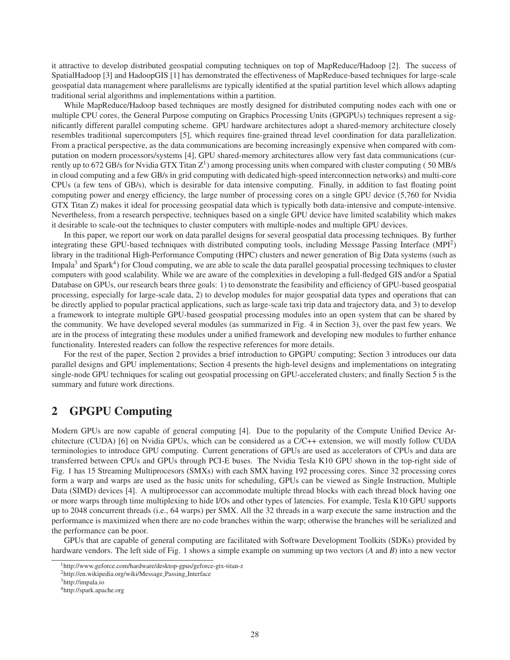it attractive to develop distributed geospatial computing techniques on top of MapReduce/Hadoop [2]. The success of SpatialHadoop [3] and HadoopGIS [1] has demonstrated the effectiveness of MapReduce-based techniques for large-scale geospatial data management where parallelisms are typically identified at the spatial partition level which allows adapting traditional serial algorithms and implementations within a partition.

While MapReduce/Hadoop based techniques are mostly designed for distributed computing nodes each with one or multiple CPU cores, the General Purpose computing on Graphics Processing Units (GPGPUs) techniques represent a significantly different parallel computing scheme. GPU hardware architectures adopt a shared-memory architecture closely resembles traditional supercomputers [5], which requires fine-grained thread level coordination for data parallelization. From a practical perspective, as the data communications are becoming increasingly expensive when compared with computation on modern processors/systems [4], GPU shared-memory architectures allow very fast data communications (currently up to 672 GB/s for Nvidia GTX Titan  $Z^1$ ) among processing units when compared with cluster computing ( 50 MB/s in cloud computing and a few GB/s in grid computing with dedicated high-speed interconnection networks) and multi-core CPUs (a few tens of GB/s), which is desirable for data intensive computing. Finally, in addition to fast floating point computing power and energy efficiency, the large number of processing cores on a single GPU device (5,760 for Nvidia GTX Titan Z) makes it ideal for processing geospatial data which is typically both data-intensive and compute-intensive. Nevertheless, from a research perspective, techniques based on a single GPU device have limited scalability which makes it desirable to scale-out the techniques to cluster computers with multiple-nodes and multiple GPU devices.

In this paper, we report our work on data parallel designs for several geospatial data processing techniques. By further integrating these GPU-based techniques with distributed computing tools, including Message Passing Interface  $(MPI<sup>2</sup>)$ library in the traditional High-Performance Computing (HPC) clusters and newer generation of Big Data systems (such as Impala<sup>3</sup> and Spark<sup>4</sup>) for Cloud computing, we are able to scale the data parallel geospatial processing techniques to cluster computers with good scalability. While we are aware of the complexities in developing a full-fledged GIS and/or a Spatial Database on GPUs, our research bears three goals: 1) to demonstrate the feasibility and efficiency of GPU-based geospatial processing, especially for large-scale data, 2) to develop modules for major geospatial data types and operations that can be directly applied to popular practical applications, such as large-scale taxi trip data and trajectory data, and 3) to develop a framework to integrate multiple GPU-based geospatial processing modules into an open system that can be shared by the community. We have developed several modules (as summarized in Fig. 4 in Section 3), over the past few years. We are in the process of integrating these modules under a unified framework and developing new modules to further enhance functionality. Interested readers can follow the respective references for more details.

For the rest of the paper, Section 2 provides a brief introduction to GPGPU computing; Section 3 introduces our data parallel designs and GPU implementations; Section 4 presents the high-level designs and implementations on integrating single-node GPU techniques for scaling out geospatial processing on GPU-accelerated clusters; and finally Section 5 is the summary and future work directions.

## 2 GPGPU Computing

Modern GPUs are now capable of general computing [4]. Due to the popularity of the Compute Unified Device Architecture (CUDA) [6] on Nvidia GPUs, which can be considered as a C/C++ extension, we will mostly follow CUDA terminologies to introduce GPU computing. Current generations of GPUs are used as accelerators of CPUs and data are transferred between CPUs and GPUs through PCI-E buses. The Nvidia Tesla K10 GPU shown in the top-right side of Fig. 1 has 15 Streaming Multiprocesors (SMXs) with each SMX having 192 processing cores. Since 32 processing cores form a warp and warps are used as the basic units for scheduling, GPUs can be viewed as Single Instruction, Multiple Data (SIMD) devices [4]. A multiprocessor can accommodate multiple thread blocks with each thread block having one or more warps through time multiplexing to hide I/Os and other types of latencies. For example, Tesla K10 GPU supports up to 2048 concurrent threads (i.e., 64 warps) per SMX. All the 32 threads in a warp execute the same instruction and the performance is maximized when there are no code branches within the warp; otherwise the branches will be serialized and the performance can be poor.

GPUs that are capable of general computing are facilitated with Software Development Toolkits (SDKs) provided by hardware vendors. The left side of Fig. 1 shows a simple example on summing up two vectors (*A* and *B*) into a new vector

<sup>1</sup>http://www.geforce.com/hardware/desktop-gpus/geforce-gtx-titan-z

<sup>2</sup>http://en.wikipedia.org/wiki/Message Passing Interface

<sup>3</sup>http://impala.io

<sup>4</sup>http://spark.apache.org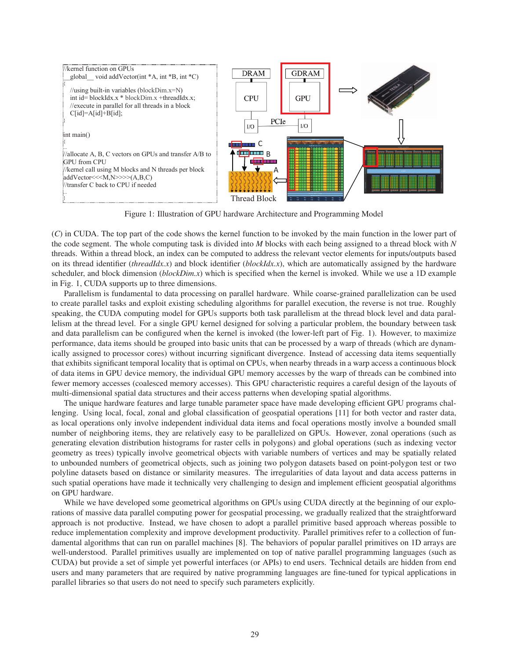

Figure 1: Illustration of GPU hardware Architecture and Programming Model

(*C*) in CUDA. The top part of the code shows the kernel function to be invoked by the main function in the lower part of the code segment. The whole computing task is divided into *M* blocks with each being assigned to a thread block with *N* threads. Within a thread block, an index can be computed to address the relevant vector elements for inputs/outputs based on its thread identifier (*threadIdx.x*) and block identifier (*blockIdx.x*), which are automatically assigned by the hardware scheduler, and block dimension (*blockDim.x*) which is specified when the kernel is invoked. While we use a 1D example in Fig. 1, CUDA supports up to three dimensions.

Parallelism is fundamental to data processing on parallel hardware. While coarse-grained parallelization can be used to create parallel tasks and exploit existing scheduling algorithms for parallel execution, the reverse is not true. Roughly speaking, the CUDA computing model for GPUs supports both task parallelism at the thread block level and data parallelism at the thread level. For a single GPU kernel designed for solving a particular problem, the boundary between task and data parallelism can be configured when the kernel is invoked (the lower-left part of Fig. 1). However, to maximize performance, data items should be grouped into basic units that can be processed by a warp of threads (which are dynamically assigned to processor cores) without incurring significant divergence. Instead of accessing data items sequentially that exhibits significant temporal locality that is optimal on CPUs, when nearby threads in a warp access a continuous block of data items in GPU device memory, the individual GPU memory accesses by the warp of threads can be combined into fewer memory accesses (coalesced memory accesses). This GPU characteristic requires a careful design of the layouts of multi-dimensional spatial data structures and their access patterns when developing spatial algorithms.

The unique hardware features and large tunable parameter space have made developing efficient GPU programs challenging. Using local, focal, zonal and global classification of geospatial operations [11] for both vector and raster data, as local operations only involve independent individual data items and focal operations mostly involve a bounded small number of neighboring items, they are relatively easy to be parallelized on GPUs. However, zonal operations (such as generating elevation distribution histograms for raster cells in polygons) and global operations (such as indexing vector geometry as trees) typically involve geometrical objects with variable numbers of vertices and may be spatially related to unbounded numbers of geometrical objects, such as joining two polygon datasets based on point-polygon test or two polyline datasets based on distance or similarity measures. The irregularities of data layout and data access patterns in such spatial operations have made it technically very challenging to design and implement efficient geospatial algorithms on GPU hardware.

While we have developed some geometrical algorithms on GPUs using CUDA directly at the beginning of our explorations of massive data parallel computing power for geospatial processing, we gradually realized that the straightforward approach is not productive. Instead, we have chosen to adopt a parallel primitive based approach whereas possible to reduce implementation complexity and improve development productivity. Parallel primitives refer to a collection of fundamental algorithms that can run on parallel machines [8]. The behaviors of popular parallel primitives on 1D arrays are well-understood. Parallel primitives usually are implemented on top of native parallel programming languages (such as CUDA) but provide a set of simple yet powerful interfaces (or APIs) to end users. Technical details are hidden from end users and many parameters that are required by native programming languages are fine-tuned for typical applications in parallel libraries so that users do not need to specify such parameters explicitly.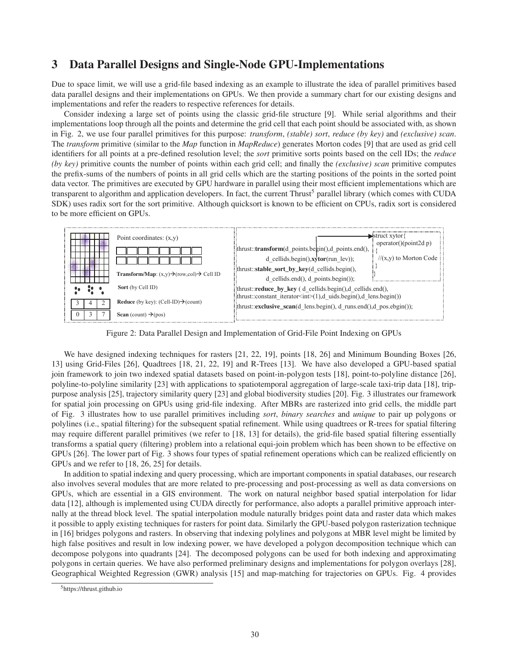### 3 Data Parallel Designs and Single-Node GPU-Implementations

Due to space limit, we will use a grid-file based indexing as an example to illustrate the idea of parallel primitives based data parallel designs and their implementations on GPUs. We then provide a summary chart for our existing designs and implementations and refer the readers to respective references for details.

Consider indexing a large set of points using the classic grid-file structure [9]. While serial algorithms and their implementations loop through all the points and determine the grid cell that each point should be associated with, as shown in Fig. 2, we use four parallel primitives for this purpose: *transform*, *(stable) sort*, *reduce (by key)* and *(exclusive) scan*. The *transform* primitive (similar to the *Map* function in *MapReduce*) generates Morton codes [9] that are used as grid cell identifiers for all points at a pre-defined resolution level; the *sort* primitive sorts points based on the cell IDs; the *reduce (by key)* primitive counts the number of points within each grid cell; and finally the *(exclusive) scan* primitive computes the prefix-sums of the numbers of points in all grid cells which are the starting positions of the points in the sorted point data vector. The primitives are executed by GPU hardware in parallel using their most efficient implementations which are transparent to algorithm and application developers. In fact, the current Thrust<sup>5</sup> parallel library (which comes with CUDA SDK) uses radix sort for the sort primitive. Although quicksort is known to be efficient on CPUs, radix sort is considered to be more efficient on GPUs.



Figure 2: Data Parallel Design and Implementation of Grid-File Point Indexing on GPUs

We have designed indexing techniques for rasters [21, 22, 19], points [18, 26] and Minimum Bounding Boxes [26, 13] using Grid-Files [26], Quadtrees [18, 21, 22, 19] and R-Trees [13]. We have also developed a GPU-based spatial join framework to join two indexed spatial datasets based on point-in-polygon tests [18], point-to-polyline distance [26], polyline-to-polyline similarity [23] with applications to spatiotemporal aggregation of large-scale taxi-trip data [18], trippurpose analysis [25], trajectory similarity query [23] and global biodiversity studies [20]. Fig. 3 illustrates our framework for spatial join processing on GPUs using grid-file indexing. After MBRs are rasterized into grid cells, the middle part of Fig. 3 illustrates how to use parallel primitives including *sort*, *binary searches* and *unique* to pair up polygons or polylines (i.e., spatial filtering) for the subsequent spatial refinement. While using quadtrees or R-trees for spatial filtering may require different parallel primitives (we refer to [18, 13] for details), the grid-file based spatial filtering essentially transforms a spatial query (filtering) problem into a relational equi-join problem which has been shown to be effective on GPUs [26]. The lower part of Fig. 3 shows four types of spatial refinement operations which can be realized efficiently on GPUs and we refer to [18, 26, 25] for details.

In addition to spatial indexing and query processing, which are important components in spatial databases, our research also involves several modules that are more related to pre-processing and post-processing as well as data conversions on GPUs, which are essential in a GIS environment. The work on natural neighbor based spatial interpolation for lidar data [12], although is implemented using CUDA directly for performance, also adopts a parallel primitive approach internally at the thread block level. The spatial interpolation module naturally bridges point data and raster data which makes it possible to apply existing techniques for rasters for point data. Similarly the GPU-based polygon rasterization technique in [16] bridges polygons and rasters. In observing that indexing polylines and polygons at MBR level might be limited by high false positives and result in low indexing power, we have developed a polygon decomposition technique which can decompose polygons into quadrants [24]. The decomposed polygons can be used for both indexing and approximating polygons in certain queries. We have also performed preliminary designs and implementations for polygon overlays [28], Geographical Weighted Regression (GWR) analysis [15] and map-matching for trajectories on GPUs. Fig. 4 provides

<sup>5</sup>https://thrust.github.io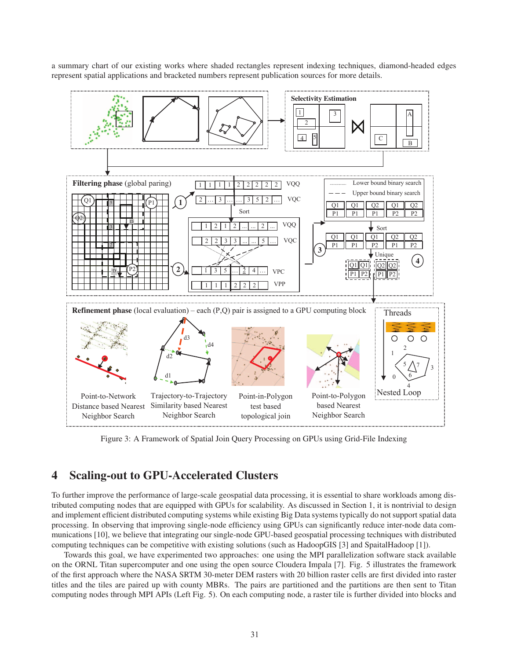a summary chart of our existing works where shaded rectangles represent indexing techniques, diamond-headed edges represent spatial applications and bracketed numbers represent publication sources for more details.



Figure 3: A Framework of Spatial Join Query Processing on GPUs using Grid-File Indexing

### 4 Scaling-out to GPU-Accelerated Clusters

To further improve the performance of large-scale geospatial data processing, it is essential to share workloads among distributed computing nodes that are equipped with GPUs for scalability. As discussed in Section 1, it is nontrivial to design and implement efficient distributed computing systems while existing Big Data systems typically do not support spatial data processing. In observing that improving single-node efficiency using GPUs can significantly reduce inter-node data communications [10], we believe that integrating our single-node GPU-based geospatial processing techniques with distributed computing techniques can be competitive with existing solutions (such as HadoopGIS [3] and SpaitalHadoop [1]).

Towards this goal, we have experimented two approaches: one using the MPI parallelization software stack available on the ORNL Titan supercomputer and one using the open source Cloudera Impala [7]. Fig. 5 illustrates the framework of the first approach where the NASA SRTM 30-meter DEM rasters with 20 billion raster cells are first divided into raster titles and the tiles are paired up with county MBRs. The pairs are partitioned and the partitions are then sent to Titan computing nodes through MPI APIs (Left Fig. 5). On each computing node, a raster tile is further divided into blocks and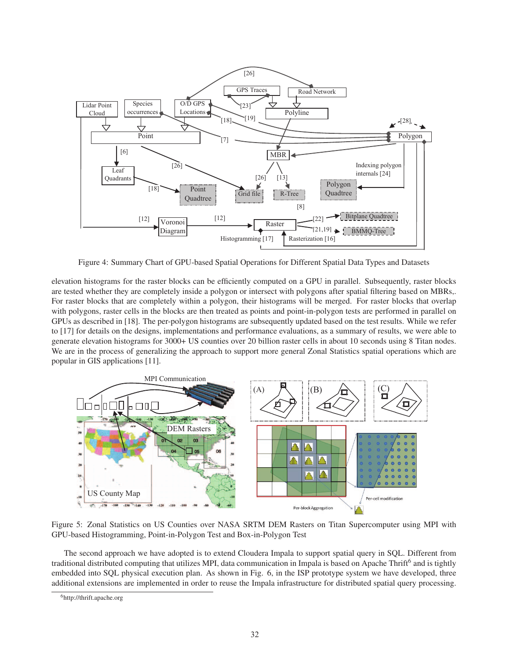

Figure 4: Summary Chart of GPU-based Spatial Operations for Different Spatial Data Types and Datasets

elevation histograms for the raster blocks can be efficiently computed on a GPU in parallel. Subsequently, raster blocks are tested whether they are completely inside a polygon or intersect with polygons after spatial filtering based on MBRs,. For raster blocks that are completely within a polygon, their histograms will be merged. For raster blocks that overlap with polygons, raster cells in the blocks are then treated as points and point-in-polygon tests are performed in parallel on GPUs as described in [18]. The per-polygon histograms are subsequently updated based on the test results. While we refer to [17] for details on the designs, implementations and performance evaluations, as a summary of results, we were able to generate elevation histograms for 3000+ US counties over 20 billion raster cells in about 10 seconds using 8 Titan nodes. We are in the process of generalizing the approach to support more general Zonal Statistics spatial operations which are popular in GIS applications [11].



Figure 5: Zonal Statistics on US Counties over NASA SRTM DEM Rasters on Titan Supercomputer using MPI with GPU-based Histogramming, Point-in-Polygon Test and Box-in-Polygon Test

The second approach we have adopted is to extend Cloudera Impala to support spatial query in SQL. Different from traditional distributed computing that utilizes MPI, data communication in Impala is based on Apache Thrift<sup>6</sup> and is tightly embedded into SQL physical execution plan. As shown in Fig. 6, in the ISP prototype system we have developed, three additional extensions are implemented in order to reuse the Impala infrastructure for distributed spatial query processing.

<sup>6</sup>http://thrift.apache.org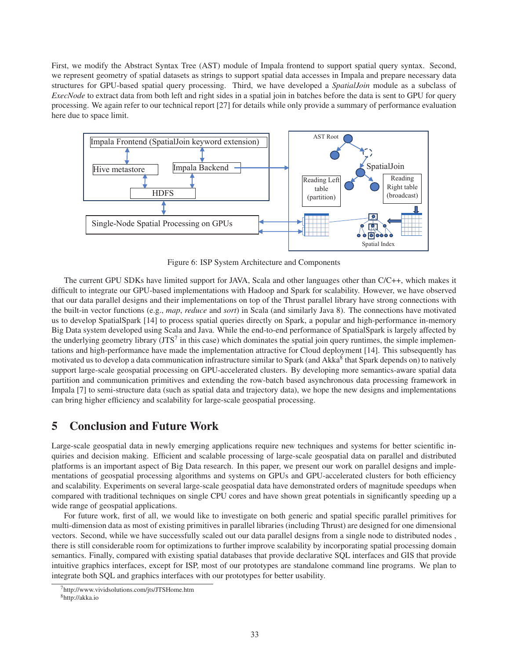First, we modify the Abstract Syntax Tree (AST) module of Impala frontend to support spatial query syntax. Second, we represent geometry of spatial datasets as strings to support spatial data accesses in Impala and prepare necessary data structures for GPU-based spatial query processing. Third, we have developed a *SpatialJoin* module as a subclass of *ExecNode* to extract data from both left and right sides in a spatial join in batches before the data is sent to GPU for query processing. We again refer to our technical report [27] for details while only provide a summary of performance evaluation here due to space limit.



Figure 6: ISP System Architecture and Components

The current GPU SDKs have limited support for JAVA, Scala and other languages other than C/C++, which makes it difficult to integrate our GPU-based implementations with Hadoop and Spark for scalability. However, we have observed that our data parallel designs and their implementations on top of the Thrust parallel library have strong connections with the built-in vector functions (e.g., *map*, *reduce* and *sort*) in Scala (and similarly Java 8). The connections have motivated us to develop SpatialSpark [14] to process spatial queries directly on Spark, a popular and high-performance in-memory Big Data system developed using Scala and Java. While the end-to-end performance of SpatialSpark is largely affected by the underlying geometry library  $(\text{JTS}^7)$  in this case) which dominates the spatial join query runtimes, the simple implementations and high-performance have made the implementation attractive for Cloud deployment [14]. This subsequently has motivated us to develop a data communication infrastructure similar to Spark (and Akka<sup>8</sup> that Spark depends on) to natively support large-scale geospatial processing on GPU-accelerated clusters. By developing more semantics-aware spatial data partition and communication primitives and extending the row-batch based asynchronous data processing framework in Impala [7] to semi-structure data (such as spatial data and trajectory data), we hope the new designs and implementations can bring higher efficiency and scalability for large-scale geospatial processing.

### 5 Conclusion and Future Work

Large-scale geospatial data in newly emerging applications require new techniques and systems for better scientific inquiries and decision making. Efficient and scalable processing of large-scale geospatial data on parallel and distributed platforms is an important aspect of Big Data research. In this paper, we present our work on parallel designs and implementations of geospatial processing algorithms and systems on GPUs and GPU-accelerated clusters for both efficiency and scalability. Experiments on several large-scale geospatial data have demonstrated orders of magnitude speedups when compared with traditional techniques on single CPU cores and have shown great potentials in significantly speeding up a wide range of geospatial applications.

For future work, first of all, we would like to investigate on both generic and spatial specific parallel primitives for multi-dimension data as most of existing primitives in parallel libraries (including Thrust) are designed for one dimensional vectors. Second, while we have successfully scaled out our data parallel designs from a single node to distributed nodes , there is still considerable room for optimizations to further improve scalability by incorporating spatial processing domain semantics. Finally, compared with existing spatial databases that provide declarative SQL interfaces and GIS that provide intuitive graphics interfaces, except for ISP, most of our prototypes are standalone command line programs. We plan to integrate both SQL and graphics interfaces with our prototypes for better usability.

<sup>7</sup>http://www.vividsolutions.com/jts/JTSHome.htm

<sup>8</sup>http://akka.io